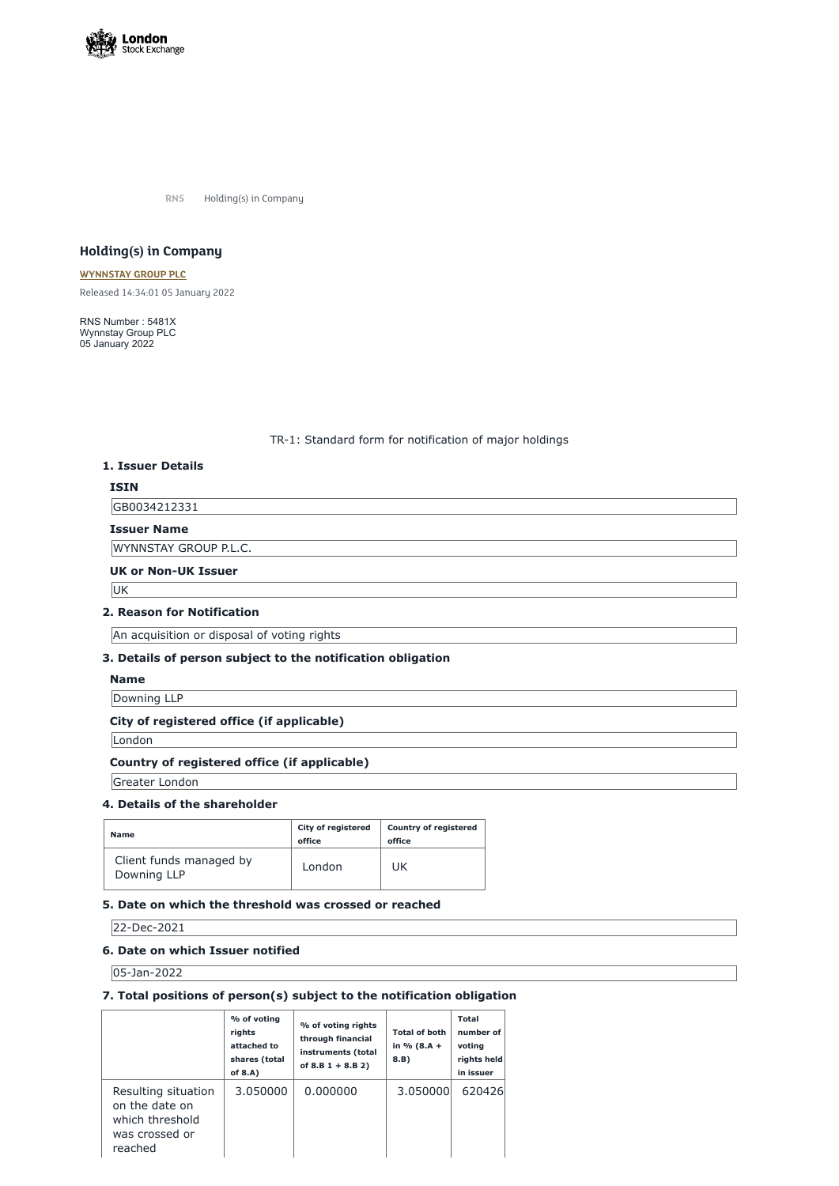

**RNS** Holding(s) in Company

# **Holding(s) in Company**

#### **[WYNNSTAY](https://www.londonstockexchange.com/stock/WYN/wynnstay-group-plc) GROUP PLC**

Released 14:34:01 05 January 2022

RNS Number : 5481X Wynnstay Group PLC 05 January 2022

## TR-1: Standard form for notification of major holdings

## **1. Issuer Details**

## **ISIN**

GB0034212331

## **Issuer Name**

WYNNSTAY GROUP P.L.C.

#### **UK or Non-UK Issuer**

U<sub>K</sub>

#### **2. Reason for Notification**

An acquisition or disposal of voting rights

## **3. Details of person subject to the notification obligation**

#### **Name**

Downing LLP

# **City of registered office (if applicable)**

London

#### **Country of registered office (if applicable)**

Greater London

#### **4. Details of the shareholder**

| <b>Name</b>                            | <b>City of registered</b><br>office | <b>Country of registered</b><br>office |
|----------------------------------------|-------------------------------------|----------------------------------------|
| Client funds managed by<br>Downing LLP | London                              | UK                                     |

### **5. Date on which the threshold was crossed or reached**

22-Dec-2021

### **6. Date on which Issuer notified**

05-Jan-2022

## **7. Total positions of person(s) subject to the notification obligation**

|                                                                                       | % of voting<br>rights<br>attached to<br>shares (total<br>of $8.A$ ) | % of voting rights<br>through financial<br>instruments (total<br>of $8.B 1 + 8.B 2)$ | <b>Total of both</b><br>in % $(8.A +$<br>8.B) | <b>Total</b><br>number of<br>voting<br>rights held<br>in issuer |
|---------------------------------------------------------------------------------------|---------------------------------------------------------------------|--------------------------------------------------------------------------------------|-----------------------------------------------|-----------------------------------------------------------------|
| Resulting situation<br>on the date on<br>which threshold<br>was crossed or<br>reached | 3.050000                                                            | 0.000000                                                                             | 3.050000                                      | 620426                                                          |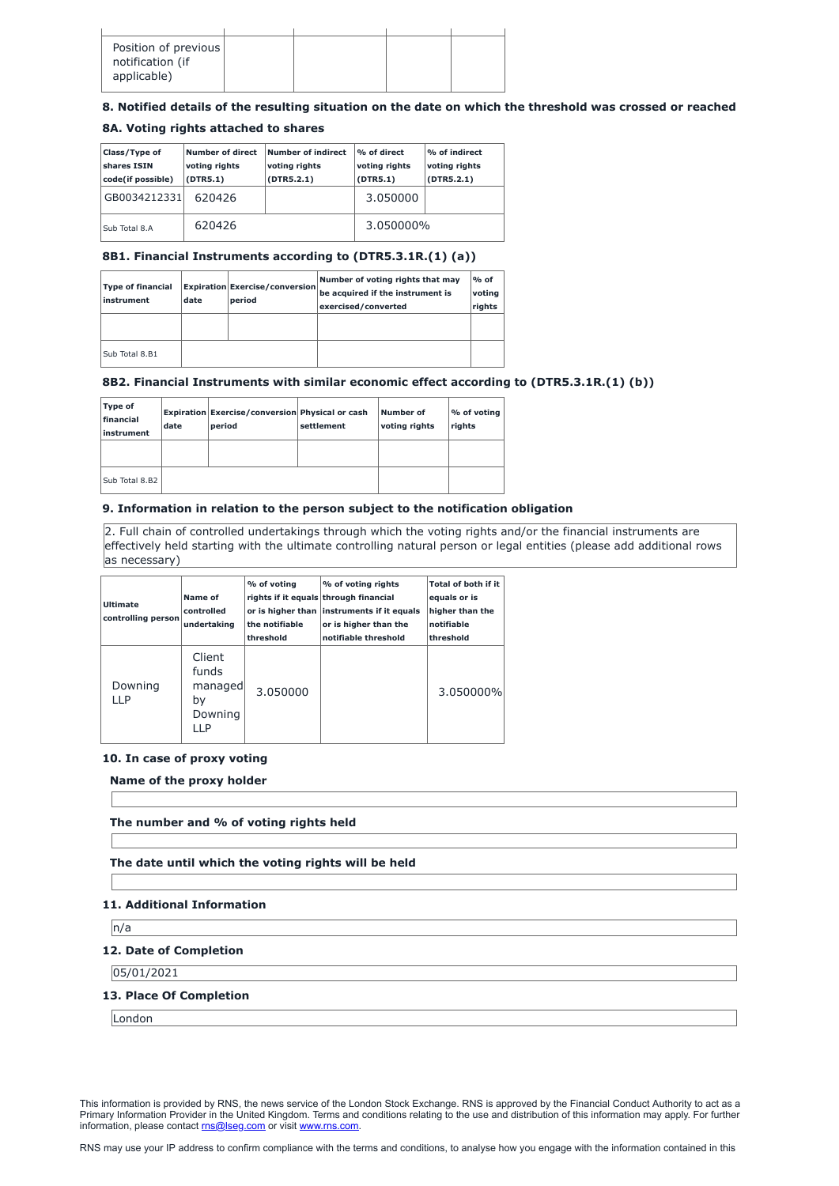| Position of previous<br>notification (if<br>applicable) |  |  |
|---------------------------------------------------------|--|--|
|                                                         |  |  |

# **8. Notified details of the resulting situation on the date on which the threshold was crossed or reached**

## **8A. Voting rights attached to shares**

| <b>Class/Type of</b><br>shares ISIN<br>code(if possible) | Number of direct<br>voting rights<br>(DTR5.1) | Number of indirect<br>voting rights<br>(DTR5.2.1) | % of direct<br>voting rights<br>(DTR5.1) | % of indirect<br>voting rights<br>(DTR5.2.1) |
|----------------------------------------------------------|-----------------------------------------------|---------------------------------------------------|------------------------------------------|----------------------------------------------|
| GB0034212331                                             | 620426                                        |                                                   | 3.050000                                 |                                              |
| Sub Total 8.A                                            | 620426                                        |                                                   | 3.050000%                                |                                              |

# **8B1. Financial Instruments according to (DTR5.3.1R.(1) (a))**

| <b>Type of financial</b><br><i>instrument</i> | date | <b>Expiration Exercise/conversion</b><br>period | Number of voting rights that may<br>be acquired if the instrument is<br>exercised/converted | $%$ of<br>voting<br>rights |
|-----------------------------------------------|------|-------------------------------------------------|---------------------------------------------------------------------------------------------|----------------------------|
|                                               |      |                                                 |                                                                                             |                            |
| Sub Total 8.B1                                |      |                                                 |                                                                                             |                            |

# **8B2. Financial Instruments with similar economic effect according to (DTR5.3.1R.(1) (b))**

| Type of<br>financial<br>linstrument | date | <b>Expiration Exercise/conversion Physical or cash</b><br>period | settlement | Number of<br><b>voting rights</b> | % of voting<br>rights |
|-------------------------------------|------|------------------------------------------------------------------|------------|-----------------------------------|-----------------------|
|                                     |      |                                                                  |            |                                   |                       |
| Sub Total 8.B2                      |      |                                                                  |            |                                   |                       |

This information is provided by RNS, the news service of the London Stock Exchange. RNS is approved by the Financial Conduct Authority to act as a Primary Information Provider in the United Kingdom. Terms and conditions relating to the use and distribution of this information may apply. For further information, please contact [rns@lseg.com](mailto:rns@lseg.com) or visit [www.rns.com.](http://www.rns.com/)

# **9. Information in relation to the person subject to the notification obligation**

2. Full chain of controlled undertakings through which the voting rights and/or the financial instruments are effectively held starting with the ultimate controlling natural person or legal entities (please add additional rows as necessary)

| <b>Ultimate</b><br>controlling person | Name of<br>controlled<br>undertaking               | % of voting<br>the notifiable<br>threshold | % of voting rights<br>rights if it equals through financial<br>or is higher than instruments if it equals<br>or is higher than the<br>notifiable threshold | <b>Total of both if it</b><br>equals or is<br>higher than the<br>notifiable<br>threshold |
|---------------------------------------|----------------------------------------------------|--------------------------------------------|------------------------------------------------------------------------------------------------------------------------------------------------------------|------------------------------------------------------------------------------------------|
| Downing<br>11P                        | Client<br>funds<br>managed<br>by<br>Downing<br>IIP | 3.050000                                   |                                                                                                                                                            | 3.050000%                                                                                |

### **10. In case of proxy voting**

**Name of the proxy holder**

**The number and % of voting rights held**

**The date until which the voting rights will be held**

## **11. Additional Information**

n/a

#### **12. Date of Completion**

05/01/2021

#### **13. Place Of Completion**

London

RNS may use your IP address to confirm compliance with the terms and conditions, to analyse how you engage with the information contained in this